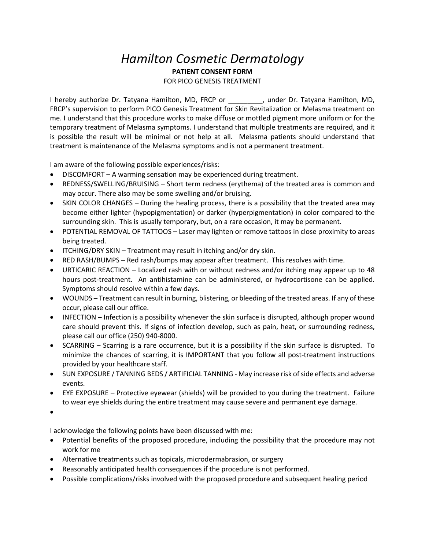## *Hamilton Cosmetic Dermatology* **PATIENT CONSENT FORM**

FOR PICO GENESIS TREATMENT

I hereby authorize Dr. Tatyana Hamilton, MD, FRCP or Funder Dr. Tatyana Hamilton, MD, FRCP's supervision to perform PICO Genesis Treatment for Skin Revitalization or Melasma treatment on me. I understand that this procedure works to make diffuse or mottled pigment more uniform or for the temporary treatment of Melasma symptoms. I understand that multiple treatments are required, and it is possible the result will be minimal or not help at all. Melasma patients should understand that treatment is maintenance of the Melasma symptoms and is not a permanent treatment.

I am aware of the following possible experiences/risks:

- DISCOMFORT A warming sensation may be experienced during treatment.
- REDNESS/SWELLING/BRUISING Short term redness (erythema) of the treated area is common and may occur. There also may be some swelling and/or bruising.
- SKIN COLOR CHANGES During the healing process, there is a possibility that the treated area may become either lighter (hypopigmentation) or darker (hyperpigmentation) in color compared to the surrounding skin. This is usually temporary, but, on a rare occasion, it may be permanent.
- POTENTIAL REMOVAL OF TATTOOS Laser may lighten or remove tattoos in close proximity to areas being treated.
- ITCHING/DRY SKIN Treatment may result in itching and/or dry skin.
- RED RASH/BUMPS Red rash/bumps may appear after treatment. This resolves with time.
- URTICARIC REACTION Localized rash with or without redness and/or itching may appear up to 48 hours post-treatment. An antihistamine can be administered, or hydrocortisone can be applied. Symptoms should resolve within a few days.
- WOUNDS Treatment can result in burning, blistering, or bleeding of the treated areas. If any of these occur, please call our office.
- INFECTION Infection is a possibility whenever the skin surface is disrupted, although proper wound care should prevent this. If signs of infection develop, such as pain, heat, or surrounding redness, please call our office (250) 940-8000.
- SCARRING Scarring is a rare occurrence, but it is a possibility if the skin surface is disrupted. To minimize the chances of scarring, it is IMPORTANT that you follow all post-treatment instructions provided by your healthcare staff.
- SUN EXPOSURE / TANNING BEDS / ARTIFICIAL TANNING May increase risk of side effects and adverse events.
- EYE EXPOSURE Protective eyewear (shields) will be provided to you during the treatment. Failure to wear eye shields during the entire treatment may cause severe and permanent eye damage.

•

I acknowledge the following points have been discussed with me:

- Potential benefits of the proposed procedure, including the possibility that the procedure may not work for me
- Alternative treatments such as topicals, microdermabrasion, or surgery
- Reasonably anticipated health consequences if the procedure is not performed.
- Possible complications/risks involved with the proposed procedure and subsequent healing period